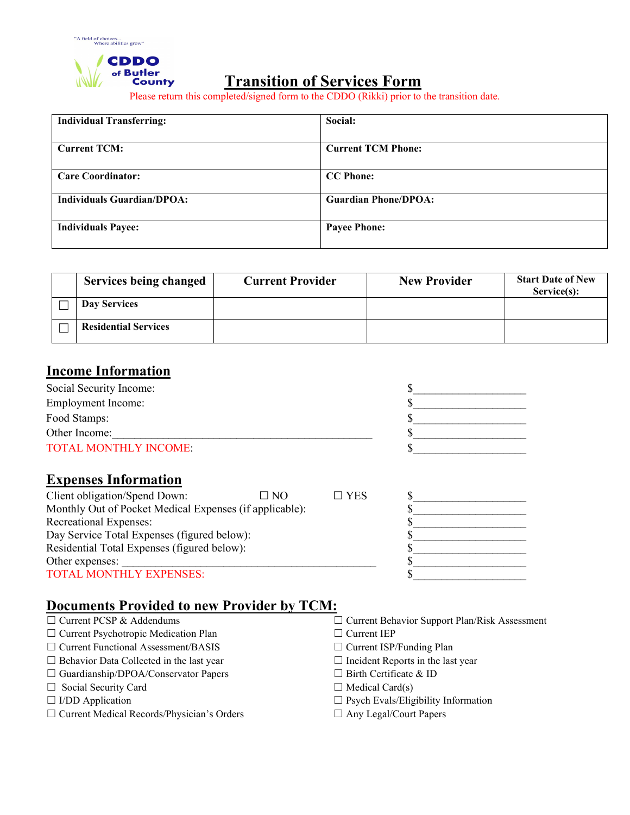

### **Transition of Services Form**

Please return this completed/signed form to the CDDO (Rikki) prior to the transition date.

| <b>Individual Transferring:</b>   | Social:                     |
|-----------------------------------|-----------------------------|
|                                   |                             |
| <b>Current TCM:</b>               | <b>Current TCM Phone:</b>   |
|                                   |                             |
| <b>Care Coordinator:</b>          | <b>CC</b> Phone:            |
|                                   |                             |
| <b>Individuals Guardian/DPOA:</b> | <b>Guardian Phone/DPOA:</b> |
|                                   |                             |
| <b>Individuals Payee:</b>         | <b>Payee Phone:</b>         |
|                                   |                             |

| <b>Services being changed</b> | <b>Current Provider</b> | <b>New Provider</b> | <b>Start Date of New</b><br>Service(s): |
|-------------------------------|-------------------------|---------------------|-----------------------------------------|
| Day Services                  |                         |                     |                                         |
| <b>Residential Services</b>   |                         |                     |                                         |

### **Income Information**

| Social Security Income:      |  |
|------------------------------|--|
| <b>Employment Income:</b>    |  |
| Food Stamps:                 |  |
| Other Income:                |  |
| <b>TOTAL MONTHLY INCOME:</b> |  |

#### **Expenses Information**

| Client obligation/Spend Down:                           | $\Box$ No | $\Box$ YES |  |
|---------------------------------------------------------|-----------|------------|--|
| Monthly Out of Pocket Medical Expenses (if applicable): |           |            |  |
| Recreational Expenses:                                  |           |            |  |
| Day Service Total Expenses (figured below):             |           |            |  |
| Residential Total Expenses (figured below):             |           |            |  |
| Other expenses:                                         |           |            |  |
| <b>TOTAL MONTHLY EXPENSES:</b>                          |           |            |  |

# **Documents Provided to new Provider by TCM:**

| $\Box$ Current PCSP $\alpha$ Addendums          | $\Box$ Current Denavior  |
|-------------------------------------------------|--------------------------|
| $\Box$ Current Psychotropic Medication Plan     | $\Box$ Current IEP       |
| $\Box$ Current Functional Assessment/BASIS      | $\Box$ Current ISP/Fund  |
| $\Box$ Behavior Data Collected in the last year | $\Box$ Incident Reports  |
| $\Box$ Guardianship/DPOA/Conservator Papers     | $\Box$ Birth Certificate |
| $\Box$ Social Security Card                     | $\Box$ Medical Card(s)   |

- 
- ☐ Current Medical Records/Physician's Orders ☐ Any Legal/Court Papers
- □ Current Behavior Support Plan/Risk Assessment
- $\Box$  Current IEP
- □ Current ISP/Funding Plan
- $\Box$  Incident Reports in the last year
- □ Birth Certificate & ID
- 
- ☐ I/DD Application ☐ Psych Evals/Eligibility Information
	-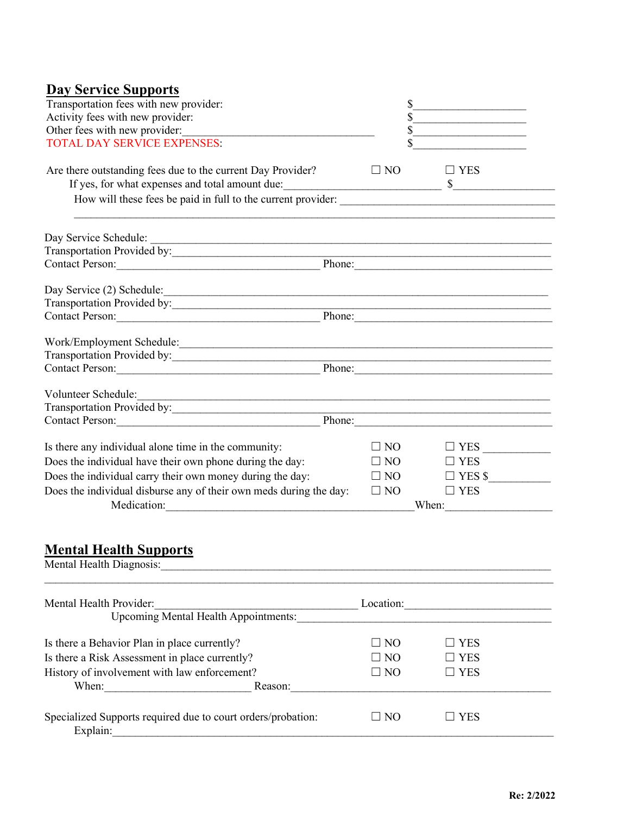| <b>Day Service Supports</b>                                                                                                                                                                                                                                    |                                                   |                       |  |  |
|----------------------------------------------------------------------------------------------------------------------------------------------------------------------------------------------------------------------------------------------------------------|---------------------------------------------------|-----------------------|--|--|
| Transportation fees with new provider:                                                                                                                                                                                                                         |                                                   |                       |  |  |
| Activity fees with new provider:                                                                                                                                                                                                                               | <u> 1989 - Johann Barbara, martin amerikan ba</u> |                       |  |  |
| Other fees with new provider:                                                                                                                                                                                                                                  |                                                   |                       |  |  |
| <b>TOTAL DAY SERVICE EXPENSES:</b>                                                                                                                                                                                                                             | the control of the control of the control of      |                       |  |  |
| Are there outstanding fees due to the current Day Provider?                                                                                                                                                                                                    | $\Box$ NO                                         | $\Box$ YES            |  |  |
|                                                                                                                                                                                                                                                                |                                                   |                       |  |  |
|                                                                                                                                                                                                                                                                |                                                   |                       |  |  |
| Day Service Schedule:                                                                                                                                                                                                                                          |                                                   |                       |  |  |
|                                                                                                                                                                                                                                                                |                                                   |                       |  |  |
|                                                                                                                                                                                                                                                                |                                                   |                       |  |  |
|                                                                                                                                                                                                                                                                |                                                   |                       |  |  |
| Transportation Provided by:                                                                                                                                                                                                                                    |                                                   |                       |  |  |
|                                                                                                                                                                                                                                                                |                                                   | Phone:                |  |  |
|                                                                                                                                                                                                                                                                |                                                   |                       |  |  |
| Transportation Provided by:                                                                                                                                                                                                                                    |                                                   |                       |  |  |
|                                                                                                                                                                                                                                                                |                                                   | Phone:                |  |  |
| Volunteer Schedule:                                                                                                                                                                                                                                            |                                                   |                       |  |  |
| Transportation Provided by:                                                                                                                                                                                                                                    |                                                   |                       |  |  |
| Contact Person:                                                                                                                                                                                                                                                |                                                   | Phone:                |  |  |
| Is there any individual alone time in the community:                                                                                                                                                                                                           | $\square$ NO                                      | $\Box$ YES            |  |  |
| Does the individual have their own phone during the day:                                                                                                                                                                                                       | $\square$ NO                                      | $\Box$ YES            |  |  |
| Does the individual carry their own money during the day:                                                                                                                                                                                                      | $\square$ NO                                      | $\Box$ YES \$         |  |  |
| Does the individual disburse any of their own meds during the day:                                                                                                                                                                                             | $\Box$ NO                                         | $\Box$ YES            |  |  |
|                                                                                                                                                                                                                                                                |                                                   | When: $\qquad \qquad$ |  |  |
|                                                                                                                                                                                                                                                                |                                                   |                       |  |  |
| <b>Mental Health Supports</b><br>Mental Health Diagnosis: New York Contract of the Contract of the Contract of the Contract of the Contract of the Contract of the Contract of the Contract of the Contract of the Contract of the Contract of the Contract of |                                                   |                       |  |  |
|                                                                                                                                                                                                                                                                |                                                   |                       |  |  |
| Mental Health Provider:                                                                                                                                                                                                                                        |                                                   | Location:             |  |  |
| Upcoming Mental Health Appointments:                                                                                                                                                                                                                           |                                                   |                       |  |  |
| Is there a Behavior Plan in place currently?                                                                                                                                                                                                                   | $\square$ NO                                      | $\square$ YES         |  |  |
| Is there a Risk Assessment in place currently?                                                                                                                                                                                                                 | $\square$ NO                                      | <b>YES</b>            |  |  |
| History of involvement with law enforcement?                                                                                                                                                                                                                   | $\Box$ NO                                         | $\square$ YES         |  |  |
| Reason:                                                                                                                                                                                                                                                        |                                                   |                       |  |  |
|                                                                                                                                                                                                                                                                |                                                   |                       |  |  |

| Specialized Supports required due to court orders/probation: | N <sub>0</sub> |  |
|--------------------------------------------------------------|----------------|--|
| Explain                                                      |                |  |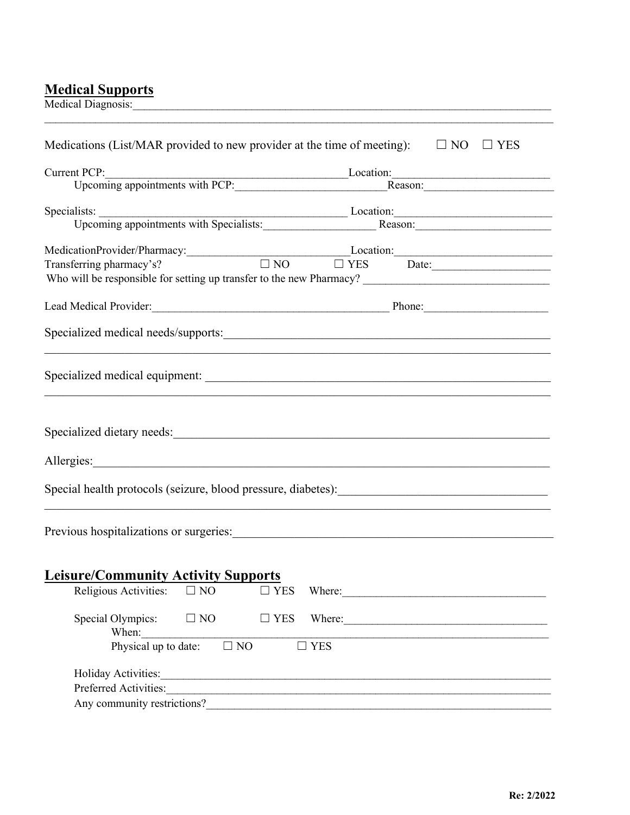## **Medical Supports**

| <b>Medical Diagnosis:</b>                                                                                                                                                                                                                                                    |                                                            |               |               |                                                                                                                                                                                                                               |
|------------------------------------------------------------------------------------------------------------------------------------------------------------------------------------------------------------------------------------------------------------------------------|------------------------------------------------------------|---------------|---------------|-------------------------------------------------------------------------------------------------------------------------------------------------------------------------------------------------------------------------------|
| Medications (List/MAR provided to new provider at the time of meeting): $\square$ NO                                                                                                                                                                                         |                                                            |               |               | $\Box$ YES                                                                                                                                                                                                                    |
|                                                                                                                                                                                                                                                                              | Current PCP:<br>Upcoming appointments with PCP:<br>Reason: |               |               |                                                                                                                                                                                                                               |
|                                                                                                                                                                                                                                                                              |                                                            |               |               |                                                                                                                                                                                                                               |
|                                                                                                                                                                                                                                                                              |                                                            |               |               |                                                                                                                                                                                                                               |
|                                                                                                                                                                                                                                                                              |                                                            |               |               | Specialists: Upcoming appointments with Specialists: Location: Reason: Reason:                                                                                                                                                |
|                                                                                                                                                                                                                                                                              |                                                            |               |               | MedicationProvider/Pharmacy: Location: Location: Location: Location: Location: Location: Date: Location: Date: Location: Date: Location: Date: Location: Date: Location: Date: Location: Date: Location: Date: Location: Date |
|                                                                                                                                                                                                                                                                              |                                                            |               |               |                                                                                                                                                                                                                               |
|                                                                                                                                                                                                                                                                              |                                                            |               |               |                                                                                                                                                                                                                               |
|                                                                                                                                                                                                                                                                              |                                                            |               |               |                                                                                                                                                                                                                               |
|                                                                                                                                                                                                                                                                              |                                                            |               |               |                                                                                                                                                                                                                               |
|                                                                                                                                                                                                                                                                              |                                                            |               |               |                                                                                                                                                                                                                               |
|                                                                                                                                                                                                                                                                              |                                                            |               |               |                                                                                                                                                                                                                               |
|                                                                                                                                                                                                                                                                              |                                                            |               |               |                                                                                                                                                                                                                               |
|                                                                                                                                                                                                                                                                              |                                                            |               |               |                                                                                                                                                                                                                               |
|                                                                                                                                                                                                                                                                              |                                                            |               |               |                                                                                                                                                                                                                               |
| Previous hospitalizations or surgeries: Manual According to the contract of the contract of the contract of the contract of the contract of the contract of the contract of the contract of the contract of the contract of th<br><b>Leisure/Community Activity Supports</b> |                                                            |               |               |                                                                                                                                                                                                                               |
| Religious Activities:                                                                                                                                                                                                                                                        | $\square$ NO                                               | $\square$ YES |               | Where:                                                                                                                                                                                                                        |
| Special Olympics:<br>When:                                                                                                                                                                                                                                                   | $\Box$ NO                                                  | $\Box$ YES    |               | Where:                                                                                                                                                                                                                        |
| Physical up to date:                                                                                                                                                                                                                                                         | $\Box$ NO                                                  |               | $\square$ YES |                                                                                                                                                                                                                               |
| Holiday Activities: 1988 Contract Contract Contract Contract Contract Contract Contract Contract Contract Contract Contract Contract Contract Contract Contract Contract Contract Contract Contract Contract Contract Contract                                               |                                                            |               |               |                                                                                                                                                                                                                               |
| Preferred Activities:                                                                                                                                                                                                                                                        |                                                            |               |               |                                                                                                                                                                                                                               |
|                                                                                                                                                                                                                                                                              |                                                            |               |               |                                                                                                                                                                                                                               |